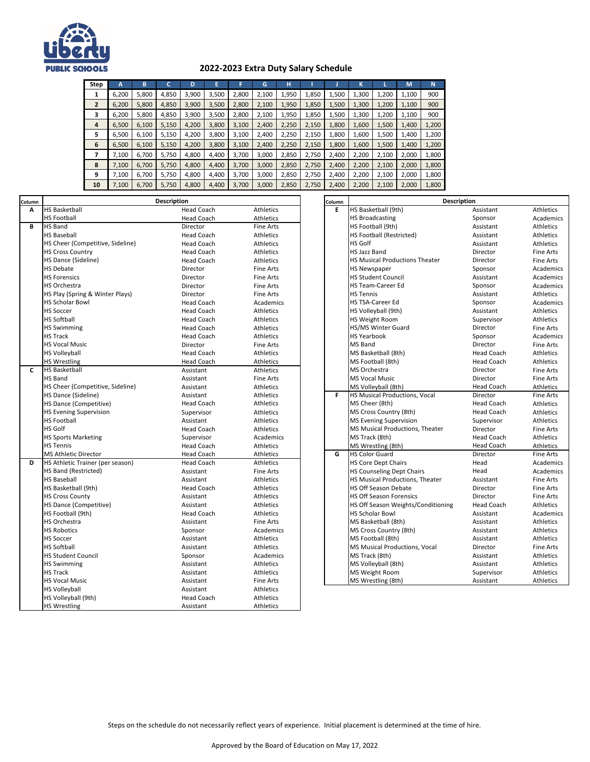

## **2022-2023 Extra Duty Salary Schedule**

| <b>Step</b>    | А     | в     |       | D     | E     | F     | G     | н     |       |       | к     |       | M     | Ñ     |
|----------------|-------|-------|-------|-------|-------|-------|-------|-------|-------|-------|-------|-------|-------|-------|
|                | 6,200 | 5,800 | 4,850 | 3,900 | 3,500 | 2.800 | 2,100 | 1,950 | 1,850 | 1,500 | 1,300 | 1,200 | 1,100 | 900   |
| $\overline{2}$ | 6,200 | 5,800 | 4,850 | 3,900 | 3,500 | 2,800 | 2,100 | 1,950 | 1,850 | 1,500 | 1,300 | 1,200 | 1,100 | 900   |
| 3              | 6,200 | 5,800 | 4,850 | 3,900 | 3,500 | 2,800 | 2,100 | 1,950 | 1,850 | 1,500 | 1,300 | 1,200 | 1,100 | 900   |
| 4              | 6,500 | 6,100 | 5,150 | 4,200 | 3,800 | 3,100 | 2,400 | 2,250 | 2,150 | 1,800 | 1,600 | 1,500 | 1,400 | 1,200 |
| 5              | 6,500 | 6,100 | 5,150 | 4,200 | 3,800 | 3,100 | 2,400 | 2,250 | 2,150 | 1,800 | 1,600 | 1,500 | 1,400 | 1,200 |
| 6              | 6,500 | 6,100 | 5,150 | 4,200 | 3,800 | 3,100 | 2,400 | 2,250 | 2,150 | 1,800 | 1,600 | 1,500 | 1,400 | 1,200 |
| 7              | 7.100 | 6.700 | 5.750 | 4.800 | 4.400 | 3.700 | 3.000 | 2.850 | 2.750 | 2,400 | 2.200 | 2.100 | 2.000 | 1,800 |
| 8              | 7,100 | 6,700 | 5,750 | 4,800 | 4,400 | 3,700 | 3,000 | 2,850 | 2,750 | 2,400 | 2,200 | 2,100 | 2,000 | 1,800 |
| 9              | 7.100 | 6.700 | 5.750 | 4.800 | 4.400 | 3.700 | 3,000 | 2,850 | 2,750 | 2,400 | 2,200 | 2,100 | 2,000 | 1,800 |
| 10             | 7,100 | 6,700 | 5,750 | 4,800 | 4,400 | 3,700 | 3,000 | 2,850 | 2,750 | 2,400 | 2,200 | 2,100 | 2,000 | 1,800 |

| Column       |                                  | Description       |                  | Column | <b>Description</b>                     |                   |                  |  |  |
|--------------|----------------------------------|-------------------|------------------|--------|----------------------------------------|-------------------|------------------|--|--|
| A            | <b>HS Basketball</b>             | <b>Head Coach</b> | Athletics        | E      | HS Basketball (9th)                    | Assistant         | <b>Athletics</b> |  |  |
|              | <b>HS Football</b>               | <b>Head Coach</b> | Athletics        |        | <b>HS Broadcasting</b>                 | Sponsor           | Academics        |  |  |
| B            | HS Band                          | Director          | <b>Fine Arts</b> |        | HS Football (9th)                      | Assistant         | Athletics        |  |  |
|              | <b>HS Baseball</b>               | <b>Head Coach</b> | <b>Athletics</b> |        | HS Football (Restricted)               | Assistant         | <b>Athletics</b> |  |  |
|              | HS Cheer (Competitive, Sideline) | <b>Head Coach</b> | Athletics        |        | HS Golf                                | Assistant         | Athletics        |  |  |
|              | <b>HS Cross Country</b>          | <b>Head Coach</b> | <b>Athletics</b> |        | <b>HS Jazz Band</b>                    | Director          | <b>Fine Arts</b> |  |  |
|              | HS Dance (Sideline)              | <b>Head Coach</b> | Athletics        |        | <b>HS Musical Productions Theater</b>  | Director          | Fine Arts        |  |  |
|              | <b>HS Debate</b>                 | Director          | <b>Fine Arts</b> |        | <b>HS Newspaper</b>                    | Sponsor           | Academics        |  |  |
|              | <b>HS Forensics</b>              | Director          | <b>Fine Arts</b> |        | <b>HS Student Council</b>              | Assistant         | Academics        |  |  |
|              | HS Orchestra                     | Director          | <b>Fine Arts</b> |        | HS Team-Career Ed                      | Sponsor           | Academics        |  |  |
|              | HS Play (Spring & Winter Plays)  | Director          | <b>Fine Arts</b> |        | <b>HS Tennis</b>                       | Assistant         | <b>Athletics</b> |  |  |
|              | <b>HS Scholar Bowl</b>           | <b>Head Coach</b> | Academics        |        | HS TSA-Career Ed                       | Sponsor           | Academics        |  |  |
|              | <b>HS Soccer</b>                 | <b>Head Coach</b> | Athletics        |        | HS Volleyball (9th)                    | Assistant         | <b>Athletics</b> |  |  |
|              | <b>HS Softball</b>               | <b>Head Coach</b> | Athletics        |        | <b>HS Weight Room</b>                  | Supervisor        | Athletics        |  |  |
|              | <b>HS Swimming</b>               | <b>Head Coach</b> | Athletics        |        | HS/MS Winter Guard                     | Director          | <b>Fine Arts</b> |  |  |
|              | <b>HS Track</b>                  | <b>Head Coach</b> | <b>Athletics</b> |        | <b>HS Yearbook</b>                     | Sponsor           | Academics        |  |  |
|              | <b>HS Vocal Music</b>            | Director          | <b>Fine Arts</b> |        | MS Band                                | Director          | <b>Fine Arts</b> |  |  |
|              | <b>HS Volleyball</b>             | <b>Head Coach</b> | Athletics        |        | MS Basketball (8th)                    | <b>Head Coach</b> | Athletics        |  |  |
|              | <b>HS Wrestling</b>              | <b>Head Coach</b> | Athletics        |        | MS Football (8th)                      | <b>Head Coach</b> | <b>Athletics</b> |  |  |
| $\mathbf{C}$ | <b>HS Basketball</b>             | Assistant         | Athletics        |        | MS Orchestra                           | Director          | <b>Fine Arts</b> |  |  |
|              | <b>HS Band</b>                   | Assistant         | <b>Fine Arts</b> |        | <b>MS Vocal Music</b>                  | Director          | <b>Fine Arts</b> |  |  |
|              | HS Cheer (Competitive, Sideline) | Assistant         | Athletics        |        | MS Volleyball (8th)                    | <b>Head Coach</b> | Athletics        |  |  |
|              | HS Dance (Sideline)              | Assistant         | Athletics        | F      | <b>HS Musical Productions, Vocal</b>   | Director          | <b>Fine Arts</b> |  |  |
|              | <b>HS Dance (Competitive)</b>    | <b>Head Coach</b> | Athletics        |        | MS Cheer (8th)                         | <b>Head Coach</b> | <b>Athletics</b> |  |  |
|              | <b>HS Evening Supervision</b>    | Supervisor        | <b>Athletics</b> |        | MS Cross Country (8th)                 | <b>Head Coach</b> | <b>Athletics</b> |  |  |
|              | <b>HS Football</b>               | Assistant         | <b>Athletics</b> |        | <b>MS Evening Supervision</b>          | Supervisor        | <b>Athletics</b> |  |  |
|              | <b>HS Golf</b>                   | <b>Head Coach</b> | Athletics        |        | MS Musical Productions, Theater        | Director          | <b>Fine Arts</b> |  |  |
|              | <b>HS Sports Marketing</b>       | Supervisor        | Academics        |        | MS Track (8th)                         | <b>Head Coach</b> | <b>Athletics</b> |  |  |
|              | <b>HS Tennis</b>                 | <b>Head Coach</b> | Athletics        |        | MS Wrestling (8th)                     | <b>Head Coach</b> | Athletics        |  |  |
|              | <b>MS Athletic Director</b>      | <b>Head Coach</b> | Athletics        | G      | <b>HS Color Guard</b>                  | Director          | Fine Arts        |  |  |
| D            | HS Athletic Trainer (per season) | <b>Head Coach</b> | <b>Athletics</b> |        | <b>HS Core Dept Chairs</b>             | Head              | Academics        |  |  |
|              | HS Band (Restricted)             | Assistant         | <b>Fine Arts</b> |        | <b>HS Counseling Dept Chairs</b>       | Head              | Academics        |  |  |
|              | <b>HS Baseball</b>               | Assistant         | Athletics        |        | <b>HS Musical Productions, Theater</b> | Assistant         | Fine Arts        |  |  |
|              | HS Basketball (9th)              | <b>Head Coach</b> | Athletics        |        | HS Off Season Debate                   | Director          | <b>Fine Arts</b> |  |  |
|              | <b>HS Cross County</b>           | Assistant         | <b>Athletics</b> |        | <b>HS Off Season Forensics</b>         | Director          | <b>Fine Arts</b> |  |  |
|              | HS Dance (Competitive)           | Assistant         | <b>Athletics</b> |        | HS Off Season Weights/Conditioning     | <b>Head Coach</b> | <b>Athletics</b> |  |  |
|              | HS Football (9th)                | <b>Head Coach</b> | Athletics        |        | <b>HS Scholar Bowl</b>                 | Assistant         | Academics        |  |  |
|              | <b>HS Orchestra</b>              | Assistant         | <b>Fine Arts</b> |        | MS Basketball (8th)                    | Assistant         | <b>Athletics</b> |  |  |
|              | <b>HS Robotics</b>               | Sponsor           | Academics        |        | MS Cross Country (8th)                 | Assistant         | Athletics        |  |  |
|              | <b>HS Soccer</b>                 | Assistant         | <b>Athletics</b> |        | MS Football (8th)                      | Assistant         | <b>Athletics</b> |  |  |
|              | <b>HS Softball</b>               | Assistant         | <b>Athletics</b> |        | MS Musical Productions, Vocal          | Director          | <b>Fine Arts</b> |  |  |
|              | <b>HS Student Council</b>        | Sponsor           | Academics        |        | MS Track (8th)                         | Assistant         | Athletics        |  |  |
|              | <b>HS Swimming</b>               | Assistant         | Athletics        |        | MS Volleyball (8th)                    | Assistant         | Athletics        |  |  |
|              | <b>HS Track</b>                  | Assistant         | Athletics        |        | MS Weight Room                         | Supervisor        | Athletics        |  |  |
|              | <b>HS Vocal Music</b>            | Assistant         | <b>Fine Arts</b> |        | MS Wrestling (8th)                     | Assistant         | Athletics        |  |  |
|              | <b>HS Volleyball</b>             | Assistant         | Athletics        |        |                                        |                   |                  |  |  |
|              | HS Volleyball (9th)              | <b>Head Coach</b> | Athletics        |        |                                        |                   |                  |  |  |
|              | <b>HS Wrestling</b>              | Assistant         | Athletics        |        |                                        |                   |                  |  |  |

| on                |                  | Column | <b>Description</b>                    |                   |                  |  |  |  |  |
|-------------------|------------------|--------|---------------------------------------|-------------------|------------------|--|--|--|--|
| <b>Head Coach</b> | Athletics        | E      | HS Basketball (9th)                   | Assistant         | Athletics        |  |  |  |  |
| Head Coach        | <b>Athletics</b> |        | <b>HS Broadcasting</b>                | Sponsor           | Academics        |  |  |  |  |
| Director          | <b>Fine Arts</b> |        | HS Football (9th)                     | Assistant         | <b>Athletics</b> |  |  |  |  |
| Head Coach        | <b>Athletics</b> |        | HS Football (Restricted)              | Assistant         | Athletics        |  |  |  |  |
| <b>Head Coach</b> | <b>Athletics</b> |        | <b>HS Golf</b>                        | Assistant         | <b>Athletics</b> |  |  |  |  |
| Head Coach        | <b>Athletics</b> |        | <b>HS Jazz Band</b>                   | Director          | <b>Fine Arts</b> |  |  |  |  |
| <b>Head Coach</b> | <b>Athletics</b> |        | <b>HS Musical Productions Theater</b> | Director          | <b>Fine Arts</b> |  |  |  |  |
| Director          | <b>Fine Arts</b> |        | <b>HS Newspaper</b>                   | Sponsor           | Academics        |  |  |  |  |
| Director          | <b>Fine Arts</b> |        | <b>HS Student Council</b>             | Assistant         | Academics        |  |  |  |  |
| Director          | <b>Fine Arts</b> |        | <b>HS Team-Career Ed</b>              | Sponsor           | Academics        |  |  |  |  |
| Director          | <b>Fine Arts</b> |        | <b>HS Tennis</b>                      | Assistant         | Athletics        |  |  |  |  |
| Head Coach        | Academics        |        | HS TSA-Career Ed                      | Sponsor           | Academics        |  |  |  |  |
| Head Coach        | <b>Athletics</b> |        | HS Volleyball (9th)                   | Assistant         | <b>Athletics</b> |  |  |  |  |
| <b>Head Coach</b> | <b>Athletics</b> |        | <b>HS Weight Room</b>                 | Supervisor        | <b>Athletics</b> |  |  |  |  |
| Head Coach        | Athletics        |        | HS/MS Winter Guard                    | Director          | <b>Fine Arts</b> |  |  |  |  |
| Head Coach        | <b>Athletics</b> |        | <b>HS Yearbook</b>                    | Sponsor           | Academics        |  |  |  |  |
| Director          | <b>Fine Arts</b> |        | <b>MS Band</b>                        | Director          | <b>Fine Arts</b> |  |  |  |  |
| Head Coach        | <b>Athletics</b> |        | MS Basketball (8th)                   | <b>Head Coach</b> | <b>Athletics</b> |  |  |  |  |
| <b>Head Coach</b> | Athletics        |        | MS Football (8th)                     | <b>Head Coach</b> | <b>Athletics</b> |  |  |  |  |
| Assistant         | <b>Athletics</b> |        | MS Orchestra                          | Director          | <b>Fine Arts</b> |  |  |  |  |
| Assistant         | <b>Fine Arts</b> |        | <b>MS Vocal Music</b>                 | Director          | <b>Fine Arts</b> |  |  |  |  |
| Assistant         | <b>Athletics</b> |        | MS Volleyball (8th)                   | <b>Head Coach</b> | <b>Athletics</b> |  |  |  |  |
| Assistant         | <b>Athletics</b> | F      | HS Musical Productions, Vocal         | Director          | <b>Fine Arts</b> |  |  |  |  |
| <b>Head Coach</b> | Athletics        |        | MS Cheer (8th)                        | <b>Head Coach</b> | Athletics        |  |  |  |  |
| Supervisor        | <b>Athletics</b> |        | MS Cross Country (8th)                | <b>Head Coach</b> | <b>Athletics</b> |  |  |  |  |
| Assistant         | <b>Athletics</b> |        | <b>MS Evening Supervision</b>         | Supervisor        | <b>Athletics</b> |  |  |  |  |
| Head Coach        | <b>Athletics</b> |        | MS Musical Productions, Theater       | Director          | <b>Fine Arts</b> |  |  |  |  |
| Supervisor        | Academics        |        | MS Track (8th)                        | <b>Head Coach</b> | <b>Athletics</b> |  |  |  |  |
| <b>Head Coach</b> | Athletics        |        | MS Wrestling (8th)                    | <b>Head Coach</b> | Athletics        |  |  |  |  |
| Head Coach        | <b>Athletics</b> | G      | <b>HS Color Guard</b>                 | Director          | <b>Fine Arts</b> |  |  |  |  |
| Head Coach        | Athletics        |        | <b>HS Core Dept Chairs</b>            | Head              | Academics        |  |  |  |  |
| Assistant         | <b>Fine Arts</b> |        | <b>HS Counseling Dept Chairs</b>      | Head              | Academics        |  |  |  |  |
| Assistant         | <b>Athletics</b> |        | HS Musical Productions, Theater       | Assistant         | <b>Fine Arts</b> |  |  |  |  |
| Head Coach        | <b>Athletics</b> |        | <b>HS Off Season Debate</b>           | Director          | <b>Fine Arts</b> |  |  |  |  |
| Assistant         | <b>Athletics</b> |        | <b>HS Off Season Forensics</b>        | Director          | <b>Fine Arts</b> |  |  |  |  |
| Assistant         | <b>Athletics</b> |        | HS Off Season Weights/Conditioning    | <b>Head Coach</b> | <b>Athletics</b> |  |  |  |  |
| Head Coach        | <b>Athletics</b> |        | <b>HS Scholar Bowl</b>                | Assistant         | Academics        |  |  |  |  |
| Assistant         | <b>Fine Arts</b> |        | MS Basketball (8th)                   | Assistant         | Athletics        |  |  |  |  |
| Sponsor           | Academics        |        | MS Cross Country (8th)                | Assistant         | <b>Athletics</b> |  |  |  |  |
| Assistant         | <b>Athletics</b> |        | MS Football (8th)                     | Assistant         | Athletics        |  |  |  |  |
| Assistant         | Athletics        |        | <b>MS Musical Productions, Vocal</b>  | Director          | <b>Fine Arts</b> |  |  |  |  |
| Sponsor           | Academics        |        | MS Track (8th)                        | Assistant         | Athletics        |  |  |  |  |
| Assistant         | Athletics        |        | MS Volleyball (8th)                   | Assistant         | Athletics        |  |  |  |  |
| Assistant         | <b>Athletics</b> |        | MS Weight Room                        | Supervisor        | <b>Athletics</b> |  |  |  |  |
| Assistant         | Fine Arts        |        | MS Wrestling (8th)                    | Assistant         | Athletics        |  |  |  |  |

Steps on the schedule do not necessarily reflect years of experience. Initial placement is determined at the time of hire.